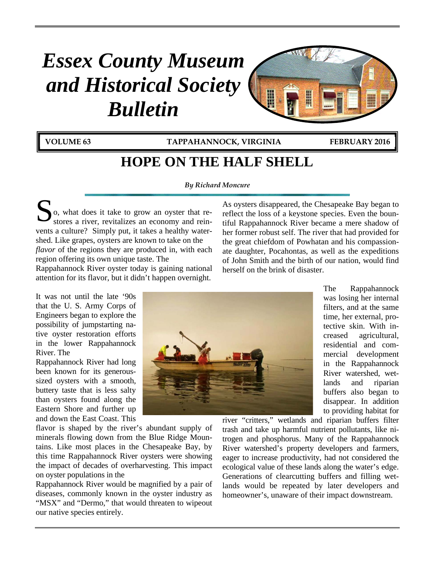# *Essex County Museum and Historical Society Bulletin*



**VOLUME 63 TAPPAHANNOCK, VIRGINIA FEBRUARY 2016**

H

## **HOPE ON THE HALF SHELL**

*By Richard Moncure* 

o, what does it take to grow an oyster that re-So, what does it take to grow an oyster that revents a culture? Simply put, it takes a healthy watershed. Like grapes, oysters are known to take on the *flavor* of the regions they are produced in, with each region offering its own unique taste. The

Rappahannock River oyster today is gaining national attention for its flavor, but it didn't happen overnight.

It was not until the late '90s that the U. S. Army Corps of Engineers began to explore the possibility of jumpstarting native oyster restoration efforts in the lower Rappahannock River. The

Rappahannock River had long been known for its generoussized oysters with a smooth, buttery taste that is less salty than oysters found along the Eastern Shore and further up and down the East Coast. This

flavor is shaped by the river's abundant supply of minerals flowing down from the Blue Ridge Mountains. Like most places in the Chesapeake Bay, by this time Rappahannock River oysters were showing the impact of decades of overharvesting. This impact on oyster populations in the

Rappahannock River would be magnified by a pair of diseases, commonly known in the oyster industry as "MSX" and "Dermo," that would threaten to wipeout our native species entirely.

As oysters disappeared, the Chesapeake Bay began to reflect the loss of a keystone species. Even the bountiful Rappahannock River became a mere shadow of her former robust self. The river that had provided for the great chiefdom of Powhatan and his compassionate daughter, Pocahontas, as well as the expeditions of John Smith and the birth of our nation, would find herself on the brink of disaster.



The Rappahannock was losing her internal filters, and at the same time, her external, protective skin. With increased agricultural, residential and commercial development in the Rappahannock River watershed, wetlands and riparian buffers also began to disappear. In addition to providing habitat for

river "critters," wetlands and riparian buffers filter trash and take up harmful nutrient pollutants, like nitrogen and phosphorus. Many of the Rappahannock River watershed's property developers and farmers, eager to increase productivity, had not considered the ecological value of these lands along the water's edge. Generations of clearcutting buffers and filling wetlands would be repeated by later developers and homeowner's, unaware of their impact downstream.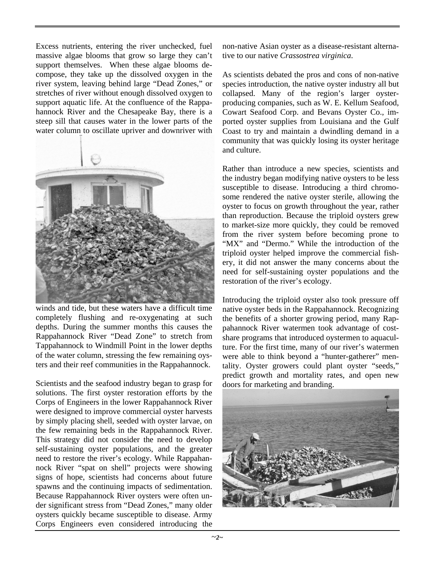Excess nutrients, entering the river unchecked, fuel massive algae blooms that grow so large they can't support themselves. When these algae blooms decompose, they take up the dissolved oxygen in the river system, leaving behind large "Dead Zones," or stretches of river without enough dissolved oxygen to support aquatic life. At the confluence of the Rappahannock River and the Chesapeake Bay, there is a steep sill that causes water in the lower parts of the water column to oscillate upriver and downriver with



winds and tide, but these waters have a difficult time completely flushing and re-oxygenating at such depths. During the summer months this causes the Rappahannock River "Dead Zone" to stretch from Tappahannock to Windmill Point in the lower depths of the water column, stressing the few remaining oysters and their reef communities in the Rappahannock.

Scientists and the seafood industry began to grasp for solutions. The first oyster restoration efforts by the Corps of Engineers in the lower Rappahannock River were designed to improve commercial oyster harvests by simply placing shell, seeded with oyster larvae, on the few remaining beds in the Rappahannock River. This strategy did not consider the need to develop self-sustaining oyster populations, and the greater need to restore the river's ecology. While Rappahannock River "spat on shell" projects were showing signs of hope, scientists had concerns about future spawns and the continuing impacts of sedimentation. Because Rappahannock River oysters were often under significant stress from "Dead Zones," many older oysters quickly became susceptible to disease. Army Corps Engineers even considered introducing the

non-native Asian oyster as a disease-resistant alternative to our native *Crassostrea virginica*.

As scientists debated the pros and cons of non-native species introduction, the native oyster industry all but collapsed. Many of the region's larger oysterproducing companies, such as W. E. Kellum Seafood, Cowart Seafood Corp. and Bevans Oyster Co., imported oyster supplies from Louisiana and the Gulf Coast to try and maintain a dwindling demand in a community that was quickly losing its oyster heritage and culture.

Rather than introduce a new species, scientists and the industry began modifying native oysters to be less susceptible to disease. Introducing a third chromosome rendered the native oyster sterile, allowing the oyster to focus on growth throughout the year, rather than reproduction. Because the triploid oysters grew to market-size more quickly, they could be removed from the river system before becoming prone to "MX" and "Dermo." While the introduction of the triploid oyster helped improve the commercial fishery, it did not answer the many concerns about the need for self-sustaining oyster populations and the restoration of the river's ecology.

Introducing the triploid oyster also took pressure off native oyster beds in the Rappahannock. Recognizing the benefits of a shorter growing period, many Rappahannock River watermen took advantage of costshare programs that introduced oystermen to aquaculture. For the first time, many of our river's watermen were able to think beyond a "hunter-gatherer" mentality. Oyster growers could plant oyster "seeds," predict growth and mortality rates, and open new doors for marketing and branding.

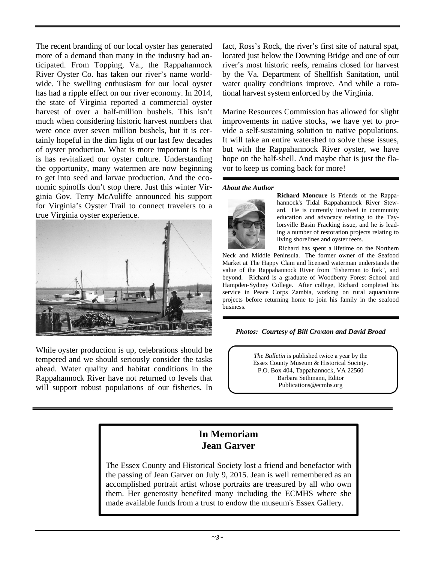The recent branding of our local oyster has generated more of a demand than many in the industry had anticipated. From Topping, Va., the Rappahannock River Oyster Co. has taken our river's name worldwide. The swelling enthusiasm for our local oyster has had a ripple effect on our river economy. In 2014, the state of Virginia reported a commercial oyster harvest of over a half-million bushels. This isn't much when considering historic harvest numbers that were once over seven million bushels, but it is certainly hopeful in the dim light of our last few decades of oyster production. What is more important is that is has revitalized our oyster culture. Understanding the opportunity, many watermen are now beginning to get into seed and larvae production. And the economic spinoffs don't stop there. Just this winter Virginia Gov. Terry McAuliffe announced his support for Virginia's Oyster Trail to connect travelers to a true Virginia oyster experience.



While oyster production is up, celebrations should be tempered and we should seriously consider the tasks ahead. Water quality and habitat conditions in the Rappahannock River have not returned to levels that will support robust populations of our fisheries. In fact, Ross's Rock, the river's first site of natural spat, located just below the Downing Bridge and one of our river's most historic reefs, remains closed for harvest by the Va. Department of Shellfish Sanitation, until water quality conditions improve. And while a rotational harvest system enforced by the Virginia.

Marine Resources Commission has allowed for slight improvements in native stocks, we have yet to provide a self-sustaining solution to native populations. It will take an entire watershed to solve these issues, but with the Rappahannock River oyster, we have hope on the half-shell. And maybe that is just the flavor to keep us coming back for more!

#### *About the Author*



**Richard Moncure** is Friends of the Rappahannock's Tidal Rappahannock River Steward. He is currently involved in community education and advocacy relating to the Taylorsville Basin Fracking issue, and he is leading a number of restoration projects relating to living shorelines and oyster reefs.

 Richard has spent a lifetime on the Northern Neck and Middle Peninsula. The former owner of the Seafood Market at The Happy Clam and licensed waterman understands the value of the Rappahannock River from "fisherman to fork", and beyond. Richard is a graduate of Woodberry Forest School and Hampden-Sydney College. After college, Richard completed his service in Peace Corps Zambia, working on rural aquaculture projects before returning home to join his family in the seafood business.

#### *Photos: Courtesy of Bill Croxton and David Broad*

*The Bulletin* is published twice a year by the Essex County Museum & Historical Society. P.O. Box 404, Tappahannock, VA 22560 Barbara Sethmann, Editor Publications@ecmhs.org

### **In Memoriam Jean Garver**

The Essex County and Historical Society lost a friend and benefactor with the passing of Jean Garver on July 9, 2015. Jean is well remembered as an accomplished portrait artist whose portraits are treasured by all who own them. Her generosity benefited many including the ECMHS where she made available funds from a trust to endow the museum's Essex Gallery.